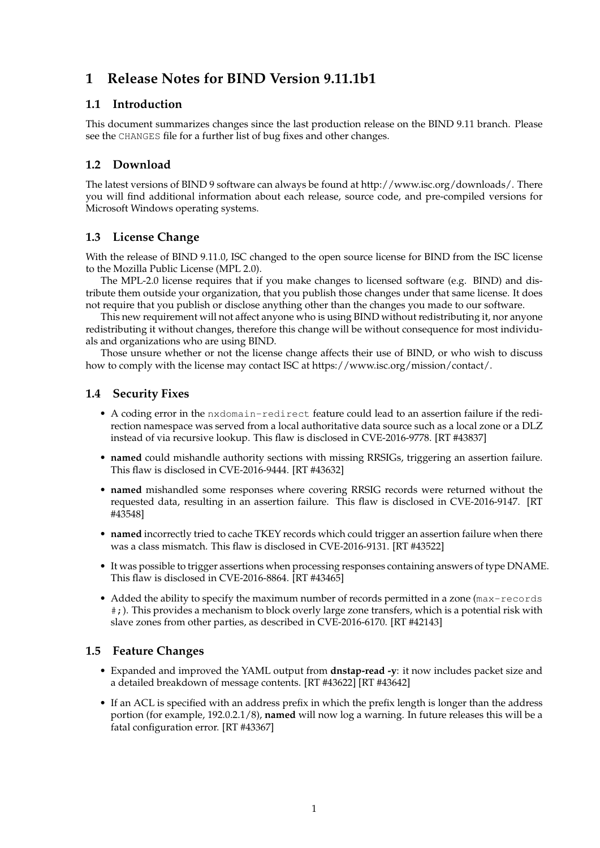# **1 Release Notes for BIND Version 9.11.1b1**

## **1.1 Introduction**

This document summarizes changes since the last production release on the BIND 9.11 branch. Please see the CHANGES file for a further list of bug fixes and other changes.

# **1.2 Download**

The latest versions of BIND 9 software can always be found at http://www.isc.org/downloads/. There you will find additional information about each release, source code, and pre-compiled versions for Microsoft Windows operating systems.

## **1.3 License Change**

With the release of BIND 9.11.0, ISC changed to the open source license for BIND from the ISC license to the Mozilla Public License (MPL 2.0).

The MPL-2.0 license requires that if you make changes to licensed software (e.g. BIND) and distribute them outside your organization, that you publish those changes under that same license. It does not require that you publish or disclose anything other than the changes you made to our software.

This new requirement will not affect anyone who is using BIND without redistributing it, nor anyone redistributing it without changes, therefore this change will be without consequence for most individuals and organizations who are using BIND.

Those unsure whether or not the license change affects their use of BIND, or who wish to discuss how to comply with the license may contact ISC at https://www.isc.org/mission/contact/.

## **1.4 Security Fixes**

- A coding error in the nxdomain-redirect feature could lead to an assertion failure if the redirection namespace was served from a local authoritative data source such as a local zone or a DLZ instead of via recursive lookup. This flaw is disclosed in CVE-2016-9778. [RT #43837]
- **named** could mishandle authority sections with missing RRSIGs, triggering an assertion failure. This flaw is disclosed in CVE-2016-9444. [RT #43632]
- **named** mishandled some responses where covering RRSIG records were returned without the requested data, resulting in an assertion failure. This flaw is disclosed in CVE-2016-9147. [RT #43548]
- **named** incorrectly tried to cache TKEY records which could trigger an assertion failure when there was a class mismatch. This flaw is disclosed in CVE-2016-9131. [RT #43522]
- It was possible to trigger assertions when processing responses containing answers of type DNAME. This flaw is disclosed in CVE-2016-8864. [RT #43465]
- Added the ability to specify the maximum number of records permitted in a zone (max-records #;). This provides a mechanism to block overly large zone transfers, which is a potential risk with slave zones from other parties, as described in CVE-2016-6170. [RT #42143]

#### **1.5 Feature Changes**

- Expanded and improved the YAML output from **dnstap-read -y**: it now includes packet size and a detailed breakdown of message contents. [RT #43622] [RT #43642]
- If an ACL is specified with an address prefix in which the prefix length is longer than the address portion (for example, 192.0.2.1/8), **named** will now log a warning. In future releases this will be a fatal configuration error. [RT #43367]